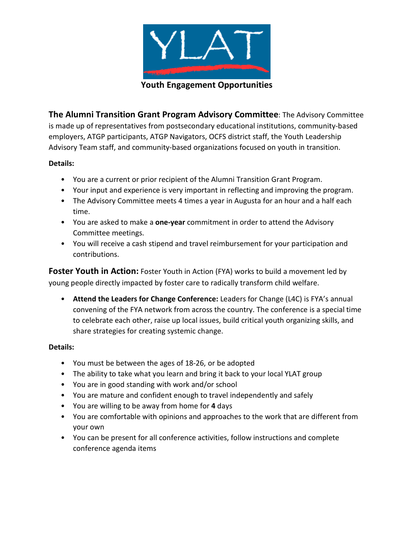

**Youth Engagement Opportunities** 

**The Alumni Transition Grant Program Advisory Committee**: The Advisory Committee is made up of representatives from postsecondary educational institutions, community-based employers, ATGP participants, ATGP Navigators, OCFS district staff, the Youth Leadership Advisory Team staff, and community-based organizations focused on youth in transition.

## **Details:**

- You are a current or prior recipient of the Alumni Transition Grant Program.
- Your input and experience is very important in reflecting and improving the program.
- The Advisory Committee meets 4 times a year in Augusta for an hour and a half each time.
- You are asked to make a **one-year** commitment in order to attend the Advisory Committee meetings.
- You will receive a cash stipend and travel reimbursement for your participation and contributions.

**Foster Youth in Action:** Foster Youth in Action (FYA) works to build a movement led by young people directly impacted by foster care to radically transform child welfare.

• **Attend the Leaders for Change Conference:** Leaders for Change (L4C) is FYA's annual convening of the FYA network from across the country. The conference is a special time to celebrate each other, raise up local issues, build critical youth organizing skills, and share strategies for creating systemic change.

## **Details:**

- You must be between the ages of 18-26, or be adopted
- The ability to take what you learn and bring it back to your local YLAT group
- You are in good standing with work and/or school
- You are mature and confident enough to travel independently and safely
- You are willing to be away from home for **4** days
- You are comfortable with opinions and approaches to the work that are different from your own
- You can be present for all conference activities, follow instructions and complete conference agenda items